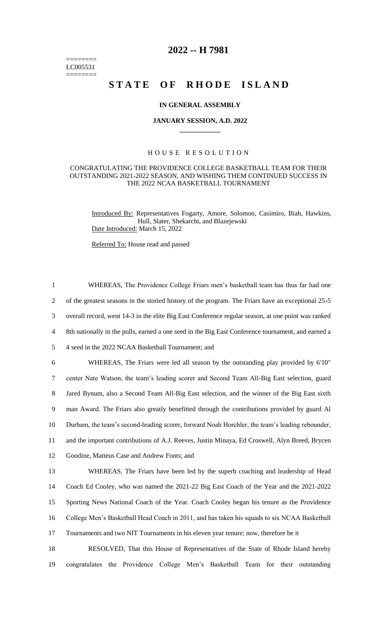======== LC005531 ========

# **2022 -- H 7981**

# **STATE OF RHODE ISLAND**

### **IN GENERAL ASSEMBLY**

#### **JANUARY SESSION, A.D. 2022 \_\_\_\_\_\_\_\_\_\_\_\_**

## H O U S E R E S O L U T I O N

#### CONGRATULATING THE PROVIDENCE COLLEGE BASKETBALL TEAM FOR THEIR OUTSTANDING 2021-2022 SEASON, AND WISHING THEM CONTINUED SUCCESS IN THE 2022 NCAA BASKETBALL TOURNAMENT

Introduced By: Representatives Fogarty, Amore, Solomon, Casimiro, Biah, Hawkins, Hull, Slater, Shekarchi, and Blazejewski Date Introduced: March 15, 2022

Referred To: House read and passed

 WHEREAS, The Providence College Friars men's basketball team has thus far had one of the greatest seasons in the storied history of the program. The Friars have an exceptional 25-5 overall record, went 14-3 in the elite Big East Conference regular season, at one point was ranked 8th nationally in the polls, earned a one seed in the Big East Conference tournament, and earned a 4 seed in the 2022 NCAA Basketball Tournament; and WHEREAS, The Friars were led all season by the outstanding play provided by 6'10" center Nate Watson, the team's leading scorer and Second Team All-Big East selection, guard Jared Bynum, also a Second Team All-Big East selection, and the winner of the Big East sixth man Award. The Friars also greatly benefitted through the contributions provided by guard Al Durham, the team's second-leading scorer, forward Noah Horchler, the team's leading rebounder, and the important contributions of A.J. Reeves, Justin Minaya, Ed Croswell, Alyn Breed, Brycen Goodine, Matteus Case and Andrew Fonts; and

 WHEREAS, The Friars have been led by the superb coaching and leadership of Head Coach Ed Cooley, who was named the 2021-22 Big East Coach of the Year and the 2021-2022 Sporting News National Coach of the Year. Coach Cooley began his tenure as the Providence College Men's Basketball Head Coach in 2011, and has taken his squads to six NCAA Basketball Tournaments and two NIT Tournaments in his eleven year tenure; now, therefore be it

18 RESOLVED, That this House of Representatives of the State of Rhode Island hereby 19 congratulates the Providence College Men's Basketball Team for their outstanding